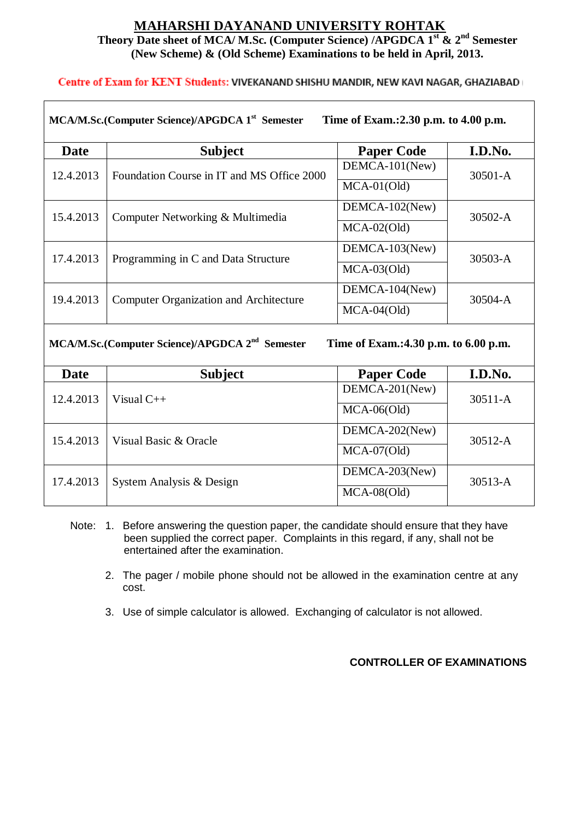## **MAHARSHI DAYANAND UNIVERSITY ROHTAK Theory Date sheet of MCA/ M.Sc. (Computer Science) /APGDCA 1st & 2nd Semester (New Scheme) & (Old Scheme) Examinations to be held in April, 2013.**

**Centre of Exam for KENT Students: VIVEKANAND SHISHU MANDIR, NEW KAVI NAGAR, GHAZIABAD** 

| MCA/M.Sc.(Computer Science)/APGDCA 1 <sup>st</sup> Semester<br>Time of Exam.: 2.30 p.m. to 4.00 p.m. |                                               |                   |             |  |  |
|------------------------------------------------------------------------------------------------------|-----------------------------------------------|-------------------|-------------|--|--|
| Date                                                                                                 | <b>Subject</b>                                | <b>Paper Code</b> | I.D.No.     |  |  |
| 12.4.2013                                                                                            | Foundation Course in IT and MS Office 2000    | $DEMCA-101$ (New) | $30501 - A$ |  |  |
|                                                                                                      |                                               | $MCA-01(Old)$     |             |  |  |
| 15.4.2013                                                                                            | Computer Networking & Multimedia              | $DEMCA-102(New)$  | $30502 - A$ |  |  |
|                                                                                                      |                                               | $MCA-02(Old)$     |             |  |  |
| 17.4.2013                                                                                            | Programming in C and Data Structure           | DEMCA-103(New)    | $30503 - A$ |  |  |
|                                                                                                      |                                               | $MCA-03(Old)$     |             |  |  |
| 19.4.2013                                                                                            | <b>Computer Organization and Architecture</b> | $DEMCA-104(New)$  | $30504 - A$ |  |  |
|                                                                                                      |                                               | $MCA-04(Old)$     |             |  |  |

**MCA/M.Sc.(Computer Science)/APGDCA 2nd**

 **Semester Time of Exam.:4.30 p.m. to 6.00 p.m.**

| Date      | <b>Subject</b>           | <b>Paper Code</b> | I.D.No.     |
|-----------|--------------------------|-------------------|-------------|
| 12.4.2013 | Visual $C_{++}$          | DEMCA-201(New)    | $30511 - A$ |
|           |                          | $MCA-06(Old)$     |             |
| 15.4.2013 | Visual Basic & Oracle    | DEMCA-202(New)    | $30512 - A$ |
|           |                          | $MCA-07(Old)$     |             |
| 17.4.2013 | System Analysis & Design | DEMCA-203(New)    | $30513 - A$ |
|           |                          | $MCA-08(Old)$     |             |

- Note: 1. Before answering the question paper, the candidate should ensure that they have been supplied the correct paper. Complaints in this regard, if any, shall not be entertained after the examination.
	- 2. The pager / mobile phone should not be allowed in the examination centre at any cost.
	- 3. Use of simple calculator is allowed. Exchanging of calculator is not allowed.

## **CONTROLLER OF EXAMINATIONS**